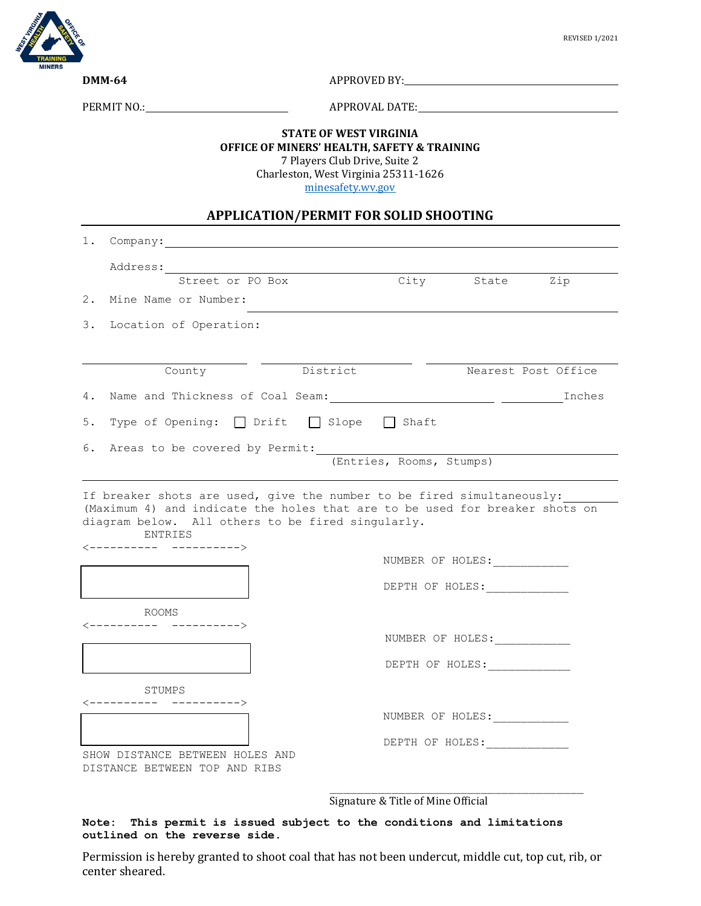

**DMM-64** APPROVED BY:

PERMIT NO.: APPROVAL DATE:

## **STATE OF WEST VIRGINIA OFFICE OF MINERS' HEALTH, SAFETY & TRAINING** 7 Players Club Drive, Suite 2

Charleston, West Virginia 25311-1626

[minesafety.wv.gov](https://minesafety.wv.gov/)

## **APPLICATION/PERMIT FOR SOLID SHOOTING**

|                                                                  | 1. Company:                                                              |                                                                                                        |  |                  |                     |  |
|------------------------------------------------------------------|--------------------------------------------------------------------------|--------------------------------------------------------------------------------------------------------|--|------------------|---------------------|--|
|                                                                  | Address:                                                                 |                                                                                                        |  |                  |                     |  |
|                                                                  | Street or PO Box                                                         |                                                                                                        |  | City State Zip   |                     |  |
|                                                                  | 2. Mine Name or Number:                                                  |                                                                                                        |  |                  |                     |  |
|                                                                  | 3. Location of Operation:                                                |                                                                                                        |  |                  |                     |  |
|                                                                  | County                                                                   | District                                                                                               |  |                  | Nearest Post Office |  |
|                                                                  |                                                                          |                                                                                                        |  |                  |                     |  |
|                                                                  | 5. Type of Opening: Drift Slope Shaft                                    |                                                                                                        |  |                  |                     |  |
|                                                                  | 6. Areas to be covered by Permit:                                        |                                                                                                        |  |                  |                     |  |
|                                                                  | (Entries, Rooms, Stumps)                                                 |                                                                                                        |  |                  |                     |  |
|                                                                  | ENTRIES<br>$\left\langle \text{---} \text{---} \text{---} \right\rangle$ | diagram below. All others to be fired singularly.<br>NUMBER OF HOLES:<br>DEPTH OF HOLES: _____________ |  |                  |                     |  |
| ROOMS                                                            |                                                                          |                                                                                                        |  |                  |                     |  |
|                                                                  | NUMBER OF HOLES:                                                         |                                                                                                        |  |                  |                     |  |
|                                                                  |                                                                          |                                                                                                        |  | DEPTH OF HOLES:  |                     |  |
| STUMPS<br>$\left\langle \text{-----} \right.$                    |                                                                          |                                                                                                        |  |                  |                     |  |
|                                                                  |                                                                          |                                                                                                        |  | NUMBER OF HOLES: |                     |  |
|                                                                  |                                                                          |                                                                                                        |  | DEPTH OF HOLES:  |                     |  |
| SHOW DISTANCE BETWEEN HOLES AND<br>DISTANCE BETWEEN TOP AND RIBS |                                                                          |                                                                                                        |  |                  |                     |  |

Signature & Title of Mine Official

## **Note: This permit is issued subject to the conditions and limitations outlined on the reverse side.**

Permission is hereby granted to shoot coal that has not been undercut, middle cut, top cut, rib, or center sheared.